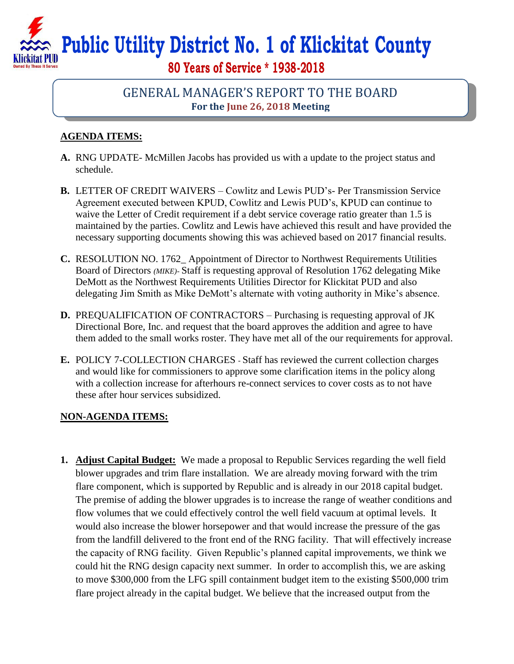**Public Utility District No. 1 of Klickitat County**

**80 Years of Service \* 1938-2018**

## GENERAL MANAGER'S REPORT TO THE BOARD **For the June 26, 2018 Meeting**

## **AGENDA ITEMS:**

- **A.** RNG UPDATE- McMillen Jacobs has provided us with a update to the project status and schedule.
- **B.** LETTER OF CREDIT WAIVERS Cowlitz and Lewis PUD's- Per Transmission Service Agreement executed between KPUD, Cowlitz and Lewis PUD's, KPUD can continue to waive the Letter of Credit requirement if a debt service coverage ratio greater than 1.5 is maintained by the parties. Cowlitz and Lewis have achieved this result and have provided the necessary supporting documents showing this was achieved based on 2017 financial results.
- **C.** RESOLUTION NO. 1762\_ Appointment of Director to Northwest Requirements Utilities Board of Directors *(MIKE)-* Staff is requesting approval of Resolution 1762 delegating Mike DeMott as the Northwest Requirements Utilities Director for Klickitat PUD and also delegating Jim Smith as Mike DeMott's alternate with voting authority in Mike's absence.
- **D.** PREQUALIFICATION OF CONTRACTORS Purchasing is requesting approval of JK Directional Bore, Inc. and request that the board approves the addition and agree to have them added to the small works roster. They have met all of the our requirements for approval.
- **E.** POLICY 7-COLLECTION CHARGES *-* Staff has reviewed the current collection charges and would like for commissioners to approve some clarification items in the policy along with a collection increase for afterhours re-connect services to cover costs as to not have these after hour services subsidized.

## **NON-AGENDA ITEMS:**

**1. Adjust Capital Budget:** We made a proposal to Republic Services regarding the well field blower upgrades and trim flare installation. We are already moving forward with the trim flare component, which is supported by Republic and is already in our 2018 capital budget. The premise of adding the blower upgrades is to increase the range of weather conditions and flow volumes that we could effectively control the well field vacuum at optimal levels. It would also increase the blower horsepower and that would increase the pressure of the gas from the landfill delivered to the front end of the RNG facility. That will effectively increase the capacity of RNG facility. Given Republic's planned capital improvements, we think we could hit the RNG design capacity next summer. In order to accomplish this, we are asking to move \$300,000 from the LFG spill containment budget item to the existing \$500,000 trim flare project already in the capital budget. We believe that the increased output from the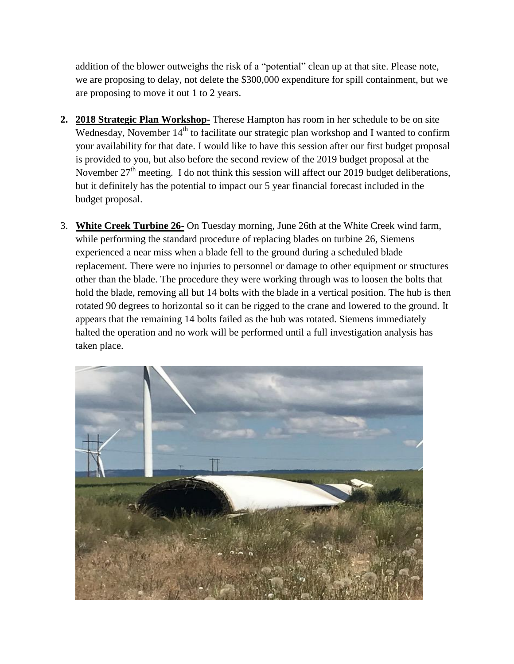addition of the blower outweighs the risk of a "potential" clean up at that site. Please note, we are proposing to delay, not delete the \$300,000 expenditure for spill containment, but we are proposing to move it out 1 to 2 years.

- **2. 2018 Strategic Plan Workshop-** Therese Hampton has room in her schedule to be on site Wednesday, November  $14<sup>th</sup>$  to facilitate our strategic plan workshop and I wanted to confirm your availability for that date. I would like to have this session after our first budget proposal is provided to you, but also before the second review of the 2019 budget proposal at the November  $27<sup>th</sup>$  meeting. I do not think this session will affect our 2019 budget deliberations, but it definitely has the potential to impact our 5 year financial forecast included in the budget proposal.
- 3. **White Creek Turbine 26-** On Tuesday morning, June 26th at the White Creek wind farm, while performing the standard procedure of replacing blades on turbine 26, Siemens experienced a near miss when a blade fell to the ground during a scheduled blade replacement. There were no injuries to personnel or damage to other equipment or structures other than the blade. The procedure they were working through was to loosen the bolts that hold the blade, removing all but 14 bolts with the blade in a vertical position. The hub is then rotated 90 degrees to horizontal so it can be rigged to the crane and lowered to the ground. It appears that the remaining 14 bolts failed as the hub was rotated. Siemens immediately halted the operation and no work will be performed until a full investigation analysis has taken place.

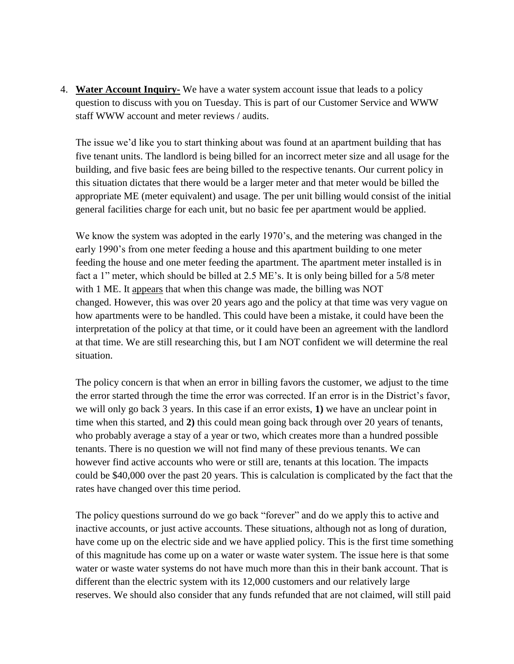4. **Water Account Inquiry-** We have a water system account issue that leads to a policy question to discuss with you on Tuesday. This is part of our Customer Service and WWW staff WWW account and meter reviews / audits.

The issue we'd like you to start thinking about was found at an apartment building that has five tenant units. The landlord is being billed for an incorrect meter size and all usage for the building, and five basic fees are being billed to the respective tenants. Our current policy in this situation dictates that there would be a larger meter and that meter would be billed the appropriate ME (meter equivalent) and usage. The per unit billing would consist of the initial general facilities charge for each unit, but no basic fee per apartment would be applied.

We know the system was adopted in the early 1970's, and the metering was changed in the early 1990's from one meter feeding a house and this apartment building to one meter feeding the house and one meter feeding the apartment. The apartment meter installed is in fact a 1" meter, which should be billed at 2.5 ME's. It is only being billed for a 5/8 meter with 1 ME. It appears that when this change was made, the billing was NOT changed. However, this was over 20 years ago and the policy at that time was very vague on how apartments were to be handled. This could have been a mistake, it could have been the interpretation of the policy at that time, or it could have been an agreement with the landlord at that time. We are still researching this, but I am NOT confident we will determine the real situation.

The policy concern is that when an error in billing favors the customer, we adjust to the time the error started through the time the error was corrected. If an error is in the District's favor, we will only go back 3 years. In this case if an error exists, **1)** we have an unclear point in time when this started, and **2)** this could mean going back through over 20 years of tenants, who probably average a stay of a year or two, which creates more than a hundred possible tenants. There is no question we will not find many of these previous tenants. We can however find active accounts who were or still are, tenants at this location. The impacts could be \$40,000 over the past 20 years. This is calculation is complicated by the fact that the rates have changed over this time period.

The policy questions surround do we go back "forever" and do we apply this to active and inactive accounts, or just active accounts. These situations, although not as long of duration, have come up on the electric side and we have applied policy. This is the first time something of this magnitude has come up on a water or waste water system. The issue here is that some water or waste water systems do not have much more than this in their bank account. That is different than the electric system with its 12,000 customers and our relatively large reserves. We should also consider that any funds refunded that are not claimed, will still paid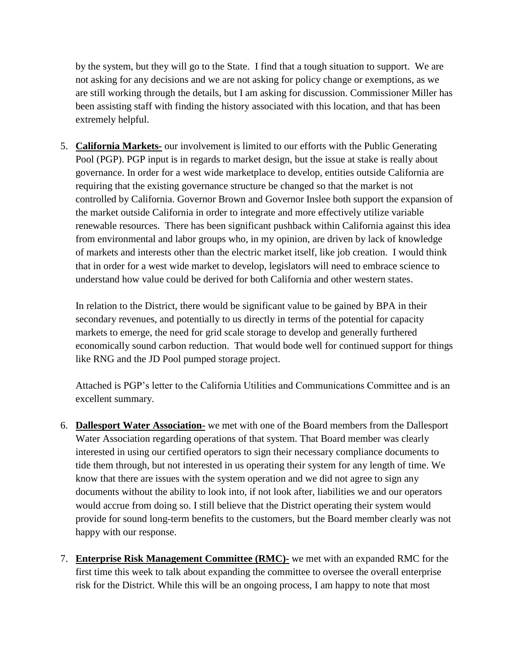by the system, but they will go to the State. I find that a tough situation to support. We are not asking for any decisions and we are not asking for policy change or exemptions, as we are still working through the details, but I am asking for discussion. Commissioner Miller has been assisting staff with finding the history associated with this location, and that has been extremely helpful.

5. **California Markets-** our involvement is limited to our efforts with the Public Generating Pool (PGP). PGP input is in regards to market design, but the issue at stake is really about governance. In order for a west wide marketplace to develop, entities outside California are requiring that the existing governance structure be changed so that the market is not controlled by California. Governor Brown and Governor Inslee both support the expansion of the market outside California in order to integrate and more effectively utilize variable renewable resources. There has been significant pushback within California against this idea from environmental and labor groups who, in my opinion, are driven by lack of knowledge of markets and interests other than the electric market itself, like job creation. I would think that in order for a west wide market to develop, legislators will need to embrace science to understand how value could be derived for both California and other western states.

In relation to the District, there would be significant value to be gained by BPA in their secondary revenues, and potentially to us directly in terms of the potential for capacity markets to emerge, the need for grid scale storage to develop and generally furthered economically sound carbon reduction. That would bode well for continued support for things like RNG and the JD Pool pumped storage project.

Attached is PGP's letter to the California Utilities and Communications Committee and is an excellent summary.

- 6. **Dallesport Water Association-** we met with one of the Board members from the Dallesport Water Association regarding operations of that system. That Board member was clearly interested in using our certified operators to sign their necessary compliance documents to tide them through, but not interested in us operating their system for any length of time. We know that there are issues with the system operation and we did not agree to sign any documents without the ability to look into, if not look after, liabilities we and our operators would accrue from doing so. I still believe that the District operating their system would provide for sound long-term benefits to the customers, but the Board member clearly was not happy with our response.
- 7. **Enterprise Risk Management Committee (RMC)-** we met with an expanded RMC for the first time this week to talk about expanding the committee to oversee the overall enterprise risk for the District. While this will be an ongoing process, I am happy to note that most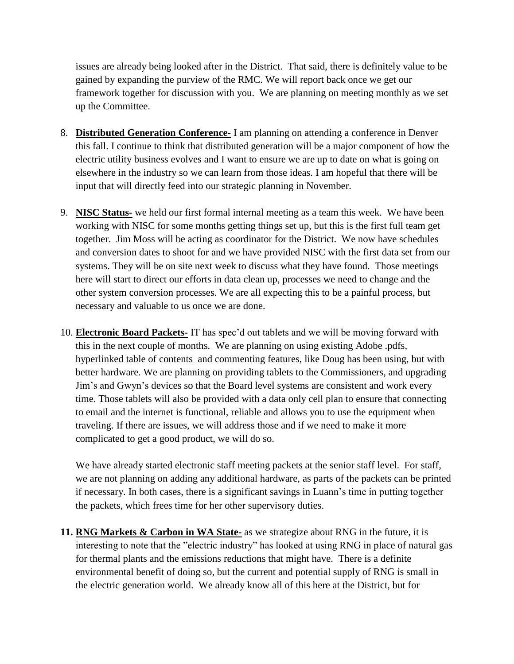issues are already being looked after in the District. That said, there is definitely value to be gained by expanding the purview of the RMC. We will report back once we get our framework together for discussion with you. We are planning on meeting monthly as we set up the Committee.

- 8. **Distributed Generation Conference-** I am planning on attending a conference in Denver this fall. I continue to think that distributed generation will be a major component of how the electric utility business evolves and I want to ensure we are up to date on what is going on elsewhere in the industry so we can learn from those ideas. I am hopeful that there will be input that will directly feed into our strategic planning in November.
- 9. **NISC Status-** we held our first formal internal meeting as a team this week. We have been working with NISC for some months getting things set up, but this is the first full team get together. Jim Moss will be acting as coordinator for the District. We now have schedules and conversion dates to shoot for and we have provided NISC with the first data set from our systems. They will be on site next week to discuss what they have found. Those meetings here will start to direct our efforts in data clean up, processes we need to change and the other system conversion processes. We are all expecting this to be a painful process, but necessary and valuable to us once we are done.
- 10. **Electronic Board Packets-** IT has spec'd out tablets and we will be moving forward with this in the next couple of months. We are planning on using existing Adobe .pdfs, hyperlinked table of contents and commenting features, like Doug has been using, but with better hardware. We are planning on providing tablets to the Commissioners, and upgrading Jim's and Gwyn's devices so that the Board level systems are consistent and work every time. Those tablets will also be provided with a data only cell plan to ensure that connecting to email and the internet is functional, reliable and allows you to use the equipment when traveling. If there are issues, we will address those and if we need to make it more complicated to get a good product, we will do so.

We have already started electronic staff meeting packets at the senior staff level. For staff, we are not planning on adding any additional hardware, as parts of the packets can be printed if necessary. In both cases, there is a significant savings in Luann's time in putting together the packets, which frees time for her other supervisory duties.

**11. RNG Markets & Carbon in WA State-** as we strategize about RNG in the future, it is interesting to note that the "electric industry" has looked at using RNG in place of natural gas for thermal plants and the emissions reductions that might have. There is a definite environmental benefit of doing so, but the current and potential supply of RNG is small in the electric generation world. We already know all of this here at the District, but for